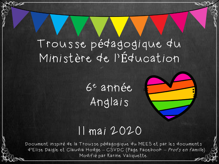# Trousse pédagogique du Ministère de l'Éducation

6 <sup>e</sup> année Anglais

#### 11 mai 2020

Document inspiré de la Trousse pédagogique du MEES et par les documents d'Elise Daigle et Claudia Hodge – CSVDC (Page Facebook – Profs en famille). Modifié par Karine Valiquette..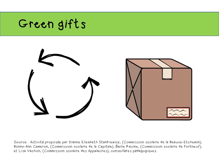## Green gifts



Source : Activité proposée par Dianne Elizabeth Stankiewicz, (Commission scolaire de la Beauce-Etchemin), Bonny-Ann Cameron, (Commission scolaire de la Capitale), Émilie Racine, (Commission scolaire de Portneuf), et Lisa Vachon, (Commission scolaire des Appalaches), conseillères pédagogiques.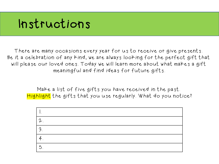### Instructions

There are many occasions every year for us to receive or give presents. Be it a celebration of any kind, we are always looking for the perfect gift that will please our loved ones. Today we will learn more about what makes a gift meaningful and find ideas for future gifts.

Make a list of five gifts you have received in the past. Highlight the gifts that you use regularly. What do you notice?

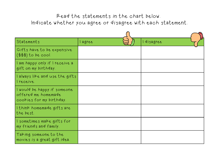#### Read the statements in the chart below. Indicate whether you agree or disagree with each statement.

| Statements                                                                     | lagree | disagree |  |
|--------------------------------------------------------------------------------|--------|----------|--|
| Gifts have to be expensive<br>$($ \$\$\$) to be cool.                          |        |          |  |
| lam happy only if I receive a<br>gift on my birthday.                          |        |          |  |
| I always like and use the gifts<br>l receive.                                  |        |          |  |
| I would be happy if someone<br>offered me homemade<br>cookies for my birthday. |        |          |  |
| Ithink homemade gifts are<br>the best.                                         |        |          |  |
| I sometimes make gifts for<br>my friends and family.                           |        |          |  |
| Taking someone to the<br>  movies is a great gift idea.                        |        |          |  |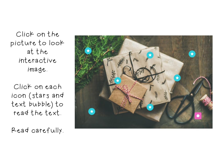Click on the picture to look at the interactive image.

Click on each icon (stars and text bubble) to read the text.

Read carefully.

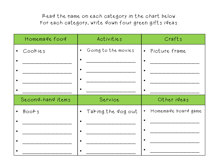Read the name on each category in the chart below. For each category, write down four green gifts ideas.

| Homemade food        | Activities                       | Crafts                           |
|----------------------|----------------------------------|----------------------------------|
| Cookies<br>$\bullet$ | Going to the movies<br>$\bullet$ | · Picture frame                  |
|                      |                                  |                                  |
|                      |                                  |                                  |
|                      |                                  |                                  |
|                      |                                  |                                  |
|                      |                                  |                                  |
| Second-hand items    | Service                          | Other ideas                      |
| · Books              | • Taking the dog out             | Homemade board game<br>$\bullet$ |
|                      |                                  |                                  |
|                      |                                  |                                  |
|                      |                                  |                                  |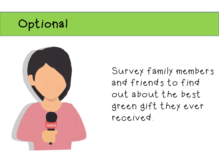# Optional



Survey family members and friends to find out about the best green gift they ever received.